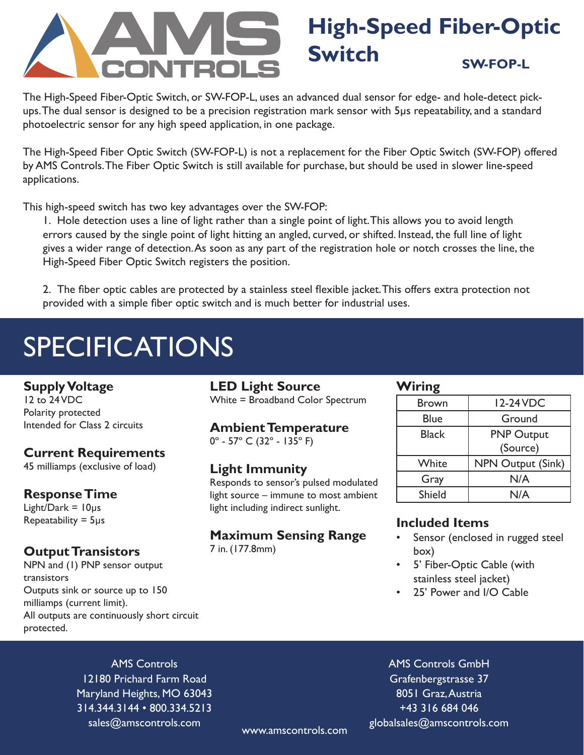# **High-Speed Fiber-Optic Switch SW-FOP-L**

The High-Speed Fiber-Optic Switch, or SW-FOP-L, uses an advanced dual sensor for edge- and hole-detect pickups. The dual sensor is designed to be a precision registration mark sensor with 5μs repeatability, and a standard photoelectric sensor for any high speed application, in one package.

The High-Speed Fiber Optic Switch (SW-FOP-L) is not a replacement for the Fiber Optic Switch (SW-FOP) offered by AMS Controls. The Fiber Optic Switch is still available for purchase, but should be used in slower line-speed applications.

This high-speed switch has two key advantages over the SW-FOP:

1. Hole detection uses a line of light rather than a single point of light. This allows you to avoid length errors caused by the single point of light hitting an angled, curved, or shifted. Instead, the full line of light gives a wider range of detection. As soon as any part of the registration hole or notch crosses the line, the High-Speed Fiber Optic Switch registers the position.

2. The fiber optic cables are protected by a stainless steel flexible jacket. This offers extra protection not provided with a simple fiber optic switch and is much better for industrial uses.

# **SPECIFICATIONS**

### **Supply Voltage**

12 to 24 VDC Polarity protected Intended for Class 2 circuits

# **Current Requirements**

45 milliamps (exclusive of load)

# **Response Time**

Light/Dark =  $10\mu s$ Repeatability = 5μs

# **Output Transistors**

NPN and (1) PNP sensor output transistors Outputs sink or source up to 150 milliamps (current limit). All outputs are continuously short circuit protected.

### **LED Light Source**

White = Broadband Color Spectrum

# **Ambient Temperature**

 $0^{\circ}$  - 57° C (32° - 135° F)

# **Light Immunity**

Responds to sensor's pulsed modulated light source – immune to most ambient light including indirect sunlight.

# **Maximum Sensing Range**

7 in. (177.8mm)

### **Wiring**

| <b>Brown</b> | 12-24 VDC                |
|--------------|--------------------------|
| <b>Blue</b>  | Ground                   |
| <b>Black</b> | <b>PNP Output</b>        |
|              | (Source)                 |
| White        | <b>NPN Output (Sink)</b> |
| Gray         | N/A                      |
| Shield       | N/A                      |

# **Included Items**

- Sensor (enclosed in rugged steel box)
- 5' Fiber-Optic Cable (with stainless steel jacket)
- 25' Power and I/O Cable

AMS Controls 12180 Prichard Farm Road Maryland Heights, MO 63043 314.344.3144 • 800.334.5213 sales@amscontrols.com

AMS Controls GmbH Grafenbergstrasse 37 8051 Graz, Austria +43 316 684 046 globalsales@amscontrols.com www.amscontrols.com